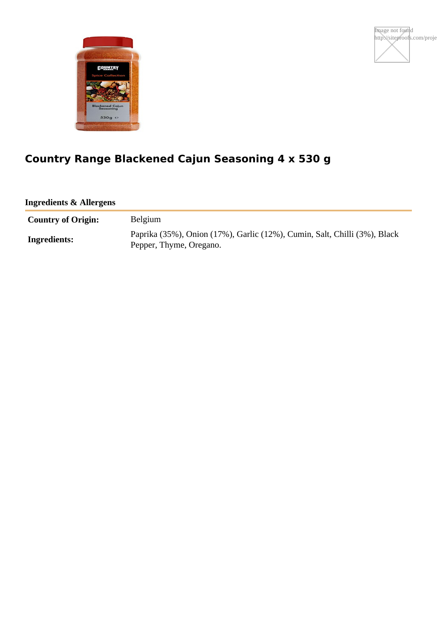



# **Country Range Blackened Cajun Seasoning 4 x 530 g**

**Ingredients & Allergens**

| <b>Country of Origin:</b> | Belgium                                                                                              |
|---------------------------|------------------------------------------------------------------------------------------------------|
| Ingredients:              | Paprika (35%), Onion (17%), Garlic (12%), Cumin, Salt, Chilli (3%), Black<br>Pepper, Thyme, Oregano. |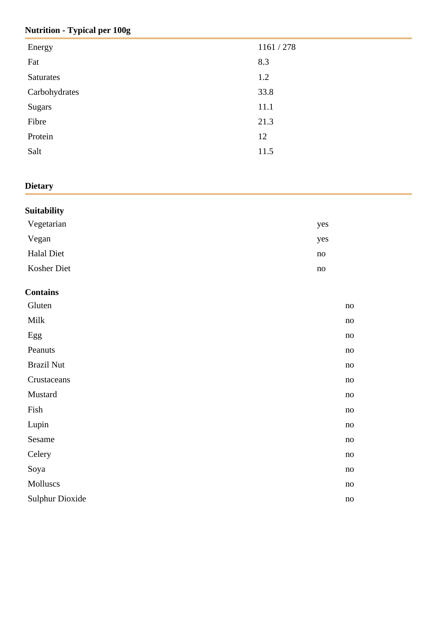## **Nutrition - Typical per 100g**

| Energy        | 1161 / 278 |
|---------------|------------|
| Fat           | 8.3        |
| Saturates     | 1.2        |
| Carbohydrates | 33.8       |
| <b>Sugars</b> | 11.1       |
| Fibre         | 21.3       |
| Protein       | 12         |
| Salt          | 11.5       |
|               |            |

## **Dietary**

| Vegetarian<br>yes<br>Vegan<br>yes<br><b>Halal Diet</b><br>no<br>Kosher Diet<br>no<br><b>Contains</b><br>Gluten<br>no<br>$\text{Milk}$<br>no<br>Egg<br>no<br>Peanuts<br>no<br><b>Brazil Nut</b><br>no<br>Crustaceans<br>no<br>Mustard<br>no<br>Fish<br>no<br>Lupin<br>no<br>Sesame<br>no<br>Celery<br>no<br>Soya<br>no<br>Molluscs<br>no<br><b>Sulphur Dioxide</b><br>no | <b>Suitability</b> |  |
|-------------------------------------------------------------------------------------------------------------------------------------------------------------------------------------------------------------------------------------------------------------------------------------------------------------------------------------------------------------------------|--------------------|--|
|                                                                                                                                                                                                                                                                                                                                                                         |                    |  |
|                                                                                                                                                                                                                                                                                                                                                                         |                    |  |
|                                                                                                                                                                                                                                                                                                                                                                         |                    |  |
|                                                                                                                                                                                                                                                                                                                                                                         |                    |  |
|                                                                                                                                                                                                                                                                                                                                                                         |                    |  |
|                                                                                                                                                                                                                                                                                                                                                                         |                    |  |
|                                                                                                                                                                                                                                                                                                                                                                         |                    |  |
|                                                                                                                                                                                                                                                                                                                                                                         |                    |  |
|                                                                                                                                                                                                                                                                                                                                                                         |                    |  |
|                                                                                                                                                                                                                                                                                                                                                                         |                    |  |
|                                                                                                                                                                                                                                                                                                                                                                         |                    |  |
|                                                                                                                                                                                                                                                                                                                                                                         |                    |  |
|                                                                                                                                                                                                                                                                                                                                                                         |                    |  |
|                                                                                                                                                                                                                                                                                                                                                                         |                    |  |
|                                                                                                                                                                                                                                                                                                                                                                         |                    |  |
|                                                                                                                                                                                                                                                                                                                                                                         |                    |  |
|                                                                                                                                                                                                                                                                                                                                                                         |                    |  |
|                                                                                                                                                                                                                                                                                                                                                                         |                    |  |
|                                                                                                                                                                                                                                                                                                                                                                         |                    |  |